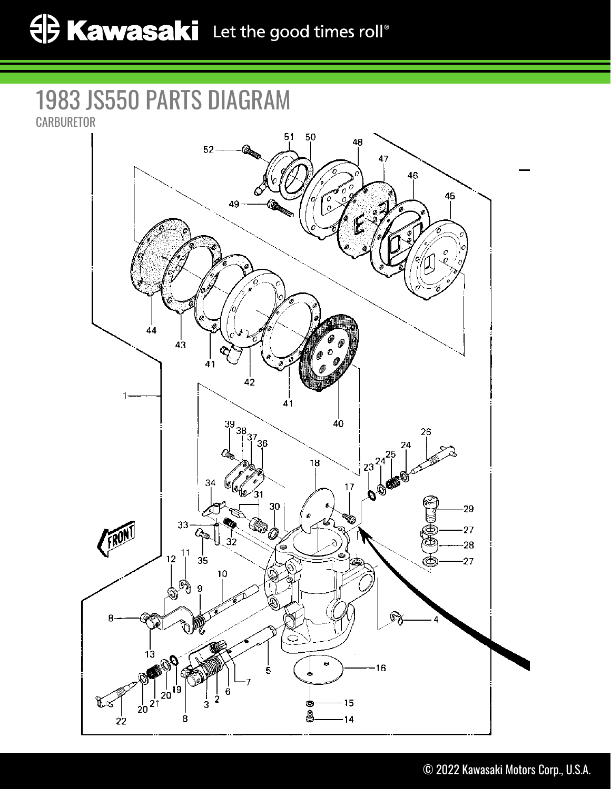## 1983 JS550 PARTS DIAGRAM **CARBURETOR**

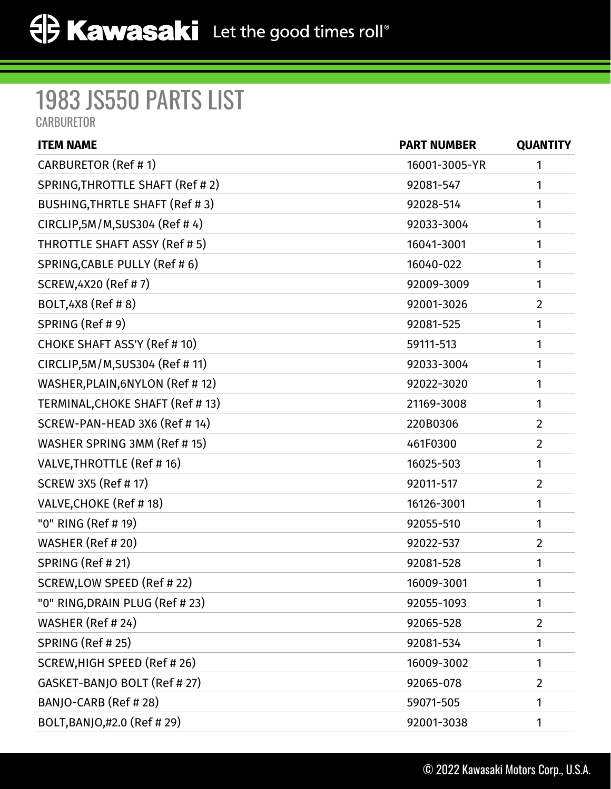## 1983 JS550 PARTS LIST

**CARBURETOR** 

| <b>ITEM NAME</b>                      | <b>PART NUMBER</b> | <b>QUANTITY</b> |
|---------------------------------------|--------------------|-----------------|
| CARBURETOR (Ref # 1)                  | 16001-3005-YR      | 1               |
| SPRING, THROTTLE SHAFT (Ref #2)       | 92081-547          | 1               |
| <b>BUSHING, THRTLE SHAFT (Ref #3)</b> | 92028-514          | 1               |
| CIRCLIP, 5M/M, SUS304 (Ref #4)        | 92033-3004         | 1               |
| THROTTLE SHAFT ASSY (Ref # 5)         | 16041-3001         | 1               |
| SPRING, CABLE PULLY (Ref #6)          | 16040-022          | 1               |
| SCREW, 4X20 (Ref # 7)                 | 92009-3009         | 1               |
| BOLT, 4X8 (Ref #8)                    | 92001-3026         | $\overline{2}$  |
| SPRING (Ref # 9)                      | 92081-525          | 1               |
| CHOKE SHAFT ASS'Y (Ref # 10)          | 59111-513          | 1               |
| CIRCLIP, 5M/M, SUS304 (Ref #11)       | 92033-3004         | 1               |
| WASHER, PLAIN, 6NYLON (Ref #12)       | 92022-3020         | 1               |
| TERMINAL, CHOKE SHAFT (Ref # 13)      | 21169-3008         | 1               |
| SCREW-PAN-HEAD 3X6 (Ref # 14)         | 220B0306           | $\overline{2}$  |
| WASHER SPRING 3MM (Ref #15)           | 461F0300           | $\overline{2}$  |
| VALVE, THROTTLE (Ref # 16)            | 16025-503          | 1               |
| <b>SCREW 3X5 (Ref #17)</b>            | 92011-517          | $\overline{2}$  |
| VALVE, CHOKE (Ref #18)                | 16126-3001         | 1               |
| "0" RING (Ref # 19)                   | 92055-510          | 1               |
| WASHER (Ref # 20)                     | 92022-537          | $\overline{2}$  |
| SPRING (Ref # 21)                     | 92081-528          | 1               |
| SCREW, LOW SPEED (Ref # 22)           | 16009-3001         | 1               |
| "0" RING, DRAIN PLUG (Ref # 23)       | 92055-1093         | 1               |
| WASHER (Ref # 24)                     | 92065-528          | $\overline{2}$  |
| SPRING (Ref # 25)                     | 92081-534          | 1               |
| SCREW, HIGH SPEED (Ref # 26)          | 16009-3002         | 1               |
| GASKET-BANJO BOLT (Ref # 27)          | 92065-078          | $\overline{2}$  |
| BANJO-CARB (Ref # 28)                 | 59071-505          | 1               |
| BOLT, BANJO, #2.0 (Ref #29)           | 92001-3038         | 1               |